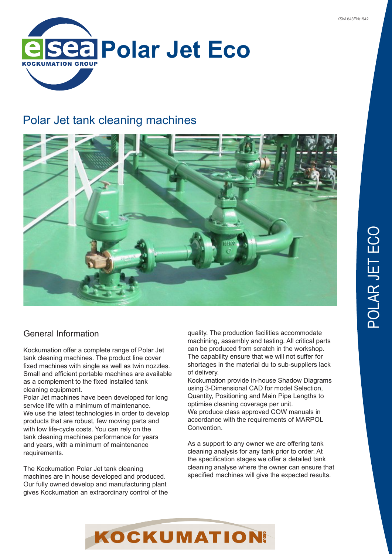

# Polar Jet tank cleaning machines



## General Information

Kockumation offer a complete range of Polar Jet tank cleaning machines. The product line cover fixed machines with single as well as twin nozzles. Small and efficient portable machines are available as a complement to the fixed installed tank cleaning equipment.

Polar Jet machines have been developed for long service life with a minimum of maintenance. We use the latest technologies in order to develop products that are robust, few moving parts and with low life-cycle costs. You can rely on the tank cleaning machines performance for years and years, with a minimum of maintenance requirements.

The Kockumation Polar Jet tank cleaning machines are in house developed and produced. Our fully owned develop and manufacturing plant gives Kockumation an extraordinary control of the quality. The production facilities accommodate machining, assembly and testing. All critical parts can be produced from scratch in the workshop. The capability ensure that we will not suffer for shortages in the material du to sub-suppliers lack of delivery.

Kockumation provide in-house Shadow Diagrams using 3-Dimensional CAD for model Selection, Quantity, Positioning and Main Pipe Lengths to optimise cleaning coverage per unit. We produce class approved COW manuals in accordance with the requirements of MARPOL Convention.

As a support to any owner we are offering tank cleaning analysis for any tank prior to order. At the specification stages we offer a detailed tank cleaning analyse where the owner can ensure that specified machines will give the expected results.